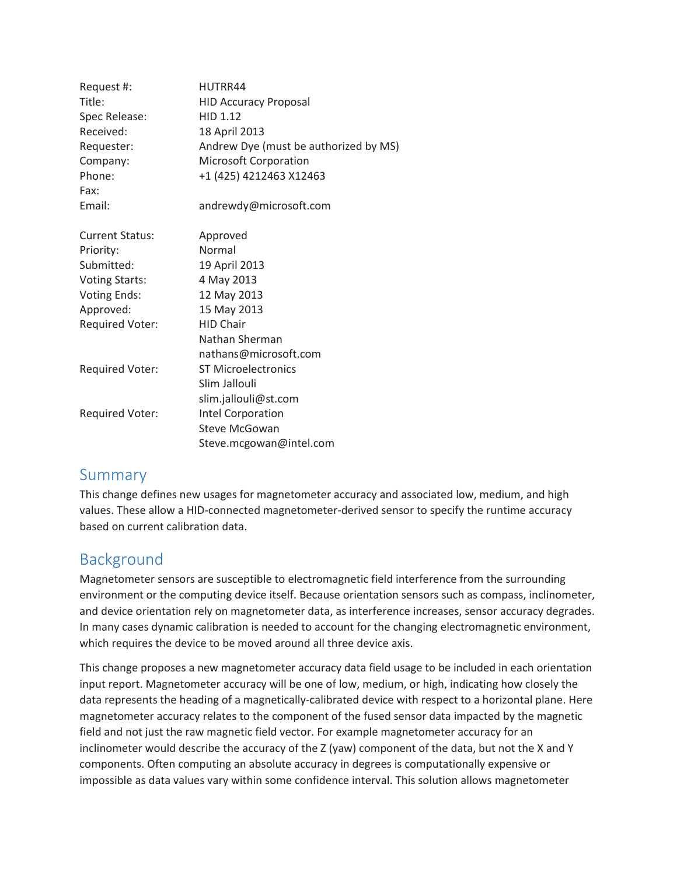| Request #:             | HUTRR44                               |
|------------------------|---------------------------------------|
| Title:                 | <b>HID Accuracy Proposal</b>          |
| Spec Release:          | HID 1.12                              |
| Received:              | 18 April 2013                         |
| Requester:             | Andrew Dye (must be authorized by MS) |
| Company:               | <b>Microsoft Corporation</b>          |
| Phone:                 | +1 (425) 4212463 X12463               |
| Fax:                   |                                       |
| Email:                 | andrewdy@microsoft.com                |
| <b>Current Status:</b> | Approved                              |
| Priority:              | Normal                                |
| Submitted:             | 19 April 2013                         |
| <b>Voting Starts:</b>  | 4 May 2013                            |
| <b>Voting Ends:</b>    | 12 May 2013                           |
| Approved:              | 15 May 2013                           |
| <b>Required Voter:</b> | <b>HID Chair</b>                      |
|                        | Nathan Sherman                        |
|                        | nathans@microsoft.com                 |
| <b>Required Voter:</b> | <b>ST Microelectronics</b>            |
|                        | Slim Jallouli                         |
|                        | slim.jallouli@st.com                  |
| <b>Required Voter:</b> | Intel Corporation                     |
|                        | <b>Steve McGowan</b>                  |
|                        | Steve.mcgowan@intel.com               |

## Summary

This change defines new usages for magnetometer accuracy and associated low, medium, and high values. These allow a HID-connected magnetometer-derived sensor to specify the runtime accuracy based on current calibration data.

# Background

Magnetometer sensors are susceptible to electromagnetic field interference from the surrounding environment or the computing device itself. Because orientation sensors such as compass, inclinometer, and device orientation rely on magnetometer data, as interference increases, sensor accuracy degrades. In many cases dynamic calibration is needed to account for the changing electromagnetic environment, which requires the device to be moved around all three device axis.

This change proposes a new magnetometer accuracy data field usage to be included in each orientation input report. Magnetometer accuracy will be one of low, medium, or high, indicating how closely the data represents the heading of a magnetically-calibrated device with respect to a horizontal plane. Here magnetometer accuracy relates to the component of the fused sensor data impacted by the magnetic field and not just the raw magnetic field vector. For example magnetometer accuracy for an inclinometer would describe the accuracy of the Z (yaw) component of the data, but not the X and Y components. Often computing an absolute accuracy in degrees is computationally expensive or impossible as data values vary within some confidence interval. This solution allows magnetometer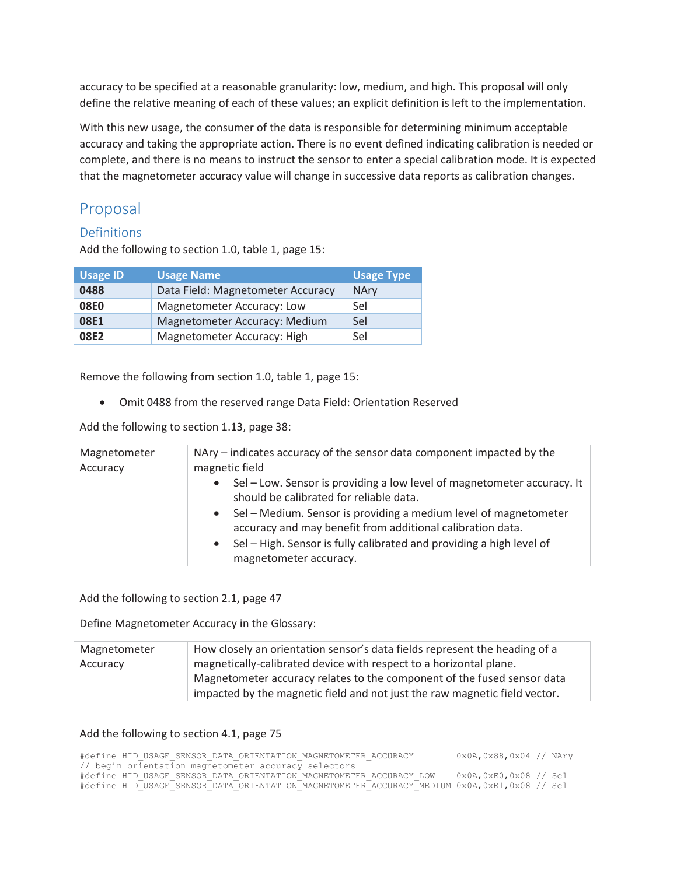accuracy to be specified at a reasonable granularity: low, medium, and high. This proposal will only define the relative meaning of each of these values; an explicit definition is left to the implementation.

With this new usage, the consumer of the data is responsible for determining minimum acceptable accuracy and taking the appropriate action. There is no event defined indicating calibration is needed or complete, and there is no means to instruct the sensor to enter a special calibration mode. It is expected that the magnetometer accuracy value will change in successive data reports as calibration changes.

# Proposal

### Definitions

Add the following to section 1.0, table 1, page 15:

| <b>Usage ID</b> | <b>Usage Name</b>                 | <b>Usage Type</b> |
|-----------------|-----------------------------------|-------------------|
| 0488            | Data Field: Magnetometer Accuracy | <b>NAry</b>       |
| <b>08E0</b>     | Magnetometer Accuracy: Low        | Sel               |
| 08E1            | Magnetometer Accuracy: Medium     | Sel               |
| 08E2            | Magnetometer Accuracy: High       | Sel               |

Remove the following from section 1.0, table 1, page 15:

• Omit 0488 from the reserved range Data Field: Orientation Reserved

Add the following to section 1.13, page 38:

| Magnetometer<br>Accuracy | NAry – indicates accuracy of the sensor data component impacted by the<br>magnetic field                                                                                                                                         |  |  |  |  |
|--------------------------|----------------------------------------------------------------------------------------------------------------------------------------------------------------------------------------------------------------------------------|--|--|--|--|
|                          | Sel – Low. Sensor is providing a low level of magnetometer accuracy. It<br>$\bullet$<br>should be calibrated for reliable data.                                                                                                  |  |  |  |  |
|                          | Sel - Medium. Sensor is providing a medium level of magnetometer<br>$\bullet$<br>accuracy and may benefit from additional calibration data.<br>Sel - High. Sensor is fully calibrated and providing a high level of<br>$\bullet$ |  |  |  |  |
|                          | magnetometer accuracy.                                                                                                                                                                                                           |  |  |  |  |

Add the following to section 2.1, page 47

Define Magnetometer Accuracy in the Glossary:

| Magnetometer | How closely an orientation sensor's data fields represent the heading of a |
|--------------|----------------------------------------------------------------------------|
| Accuracy     | magnetically-calibrated device with respect to a horizontal plane.         |
|              | Magnetometer accuracy relates to the component of the fused sensor data    |
|              | impacted by the magnetic field and not just the raw magnetic field vector. |

### Add the following to section 4.1, page 75

|  |  |                                                      | #define HID USAGE SENSOR DATA ORIENTATION MAGNETOMETER ACCURACY     |  | 0x0A, 0x88, 0x04 // NAry                                                                     |  |
|--|--|------------------------------------------------------|---------------------------------------------------------------------|--|----------------------------------------------------------------------------------------------|--|
|  |  | // begin orientation magnetometer accuracy selectors |                                                                     |  |                                                                                              |  |
|  |  |                                                      | #define HID USAGE SENSOR DATA ORIENTATION MAGNETOMETER ACCURACY LOW |  | 0x0A,0xE0,0x08 // Sel                                                                        |  |
|  |  |                                                      |                                                                     |  | #define HID USAGE SENSOR DATA ORIENTATION MAGNETOMETER ACCURACY MEDIUM 0x0A,0xE1,0x08 // Sel |  |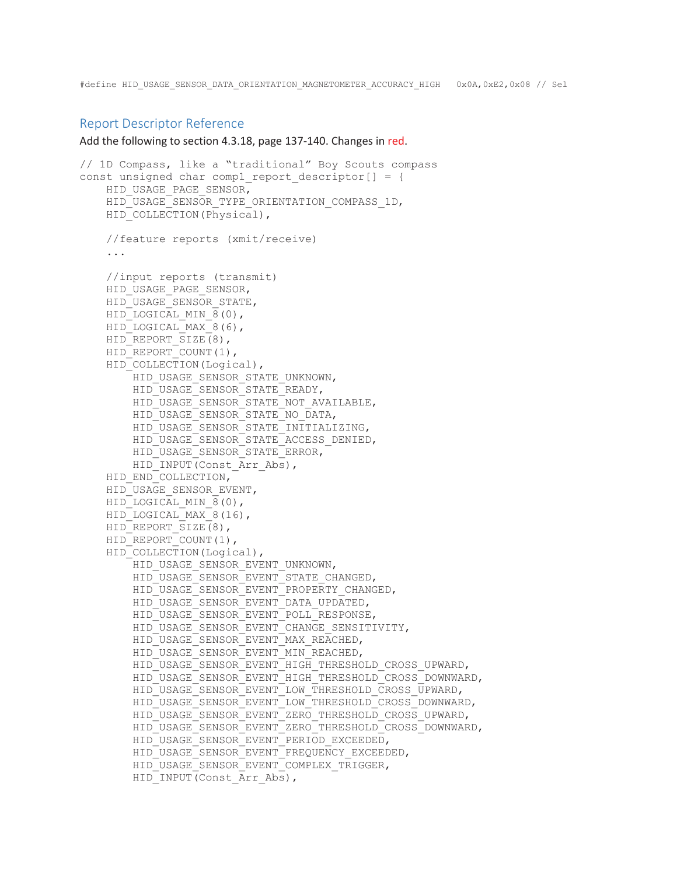#### Report Descriptor Reference

Add the following to section 4.3.18, page 137-140. Changes in red.

```
// 1D Compass, like a "traditional" Boy Scouts compass 
const unsigned char comp1 report descriptor[] = {
    HID_USAGE_PAGE_SENSOR,
    HID_USAGE_SENSOR_TYPE_ORIENTATION_COMPASS_1D,
    HID COLLECTION(Physical),
     //feature reports (xmit/receive) 
     ... 
     //input reports (transmit) 
    HID_USAGE_PAGE_SENSOR,
     HID_USAGE_SENSOR_STATE, 
    HID LOGICAL MIN 8(0),
    HID LOGICAL MAX 8(6),
    HID_REPORT_SIZE(8),
    HID_REPORT_COUNT(1),
    HID_COLLECTION(Logical),
        HID_USAGE_SENSOR_STATE_UNKNOWN,
         HID_USAGE_SENSOR_STATE_READY, 
        HID_USAGE_SENSOR_STATE_NOT_AVAILABLE,
         HID_USAGE_SENSOR_STATE_NO_DATA, 
         HID_USAGE_SENSOR_STATE_INITIALIZING, 
        HID_USAGE_SENSOR_STATE_ACCESS_DENIED,
        HID_USAGE_SENSOR_STATE_ERROR,
        HID_INPUT(Const Arr Abs),
    HID_END_COLLECTION,
     HID_USAGE_SENSOR_EVENT, 
    HID LOGICAL MIN 8(0),
    HID LOGICAL MAX 8(16),
    HID_REPORT_SIZE(8),
    HID_REPORT_COUNT(1),
    HID_COLLECTION(Logical),
         HID_USAGE_SENSOR_EVENT_UNKNOWN, 
         HID_USAGE_SENSOR_EVENT_STATE_CHANGED, 
        HID_USAGE_SENSOR_EVENT_PROPERTY_CHANGED,
        HID_USAGE_SENSOR_EVENT_DATA_UPDATED,
        HID_USAGE_SENSOR_EVENT_POLL_RESPONSE,
        HID_USAGE_SENSOR_EVENT_CHANGE_SENSITIVITY,
        HID_USAGE_SENSOR_EVENT_MAX_REACHED,
        HID_USAGE_SENSOR_EVENT_MIN_REACHED,
         HID_USAGE_SENSOR_EVENT_HIGH_THRESHOLD_CROSS_UPWARD, 
        HID_USAGE_SENSOR_EVENT_HIGH_THRESHOLD_CROSS_DOWNWARD,
        HID USAGE SENSOR EVENT LOW THRESHOLD CROSS UPWARD,
        HID_USAGE_SENSOR_EVENT_LOW_THRESHOLD_CROSS_DOWNWARD,
        HID_USAGE_SENSOR_EVENT_ZERO_THRESHOLD_CROSS_UPWARD,
         HID_USAGE_SENSOR_EVENT_ZERO_THRESHOLD_CROSS_DOWNWARD, 
        HID_USAGE_SENSOR_EVENT_PERIOD_EXCEEDED,
        HID_USAGE_SENSOR_EVENT_FREQUENCY_EXCEEDED,
         HID_USAGE_SENSOR_EVENT_COMPLEX_TRIGGER, 
        HID_INPUT(Const_Arr_Abs),
```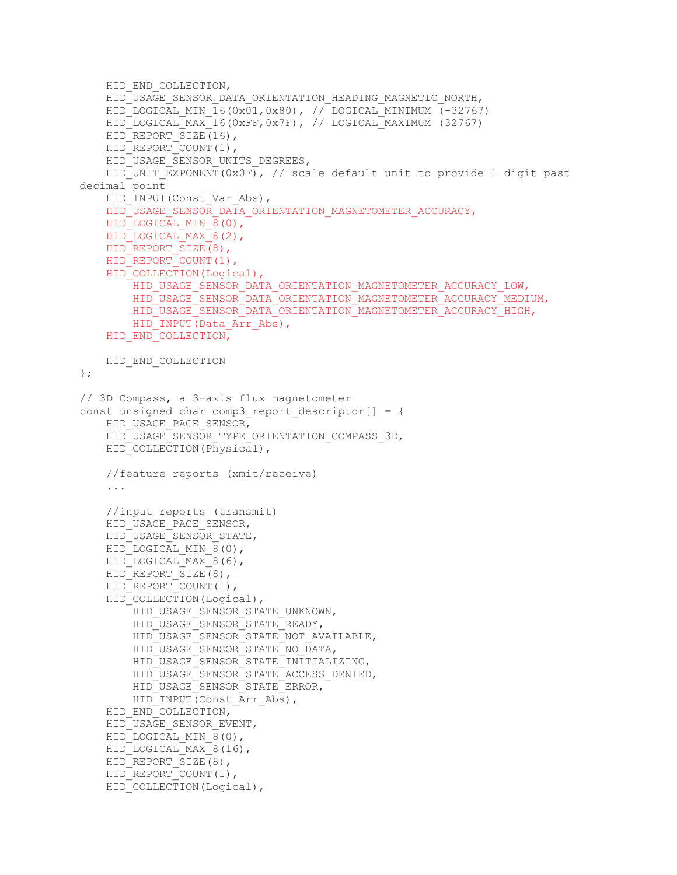```
HID_END_COLLECTION,
    HID_USAGE_SENSOR_DATA_ORIENTATION_HEADING_MAGNETIC_NORTH,
    HID LOGICAL MIN 16(0x01,0x80), // LOGICAL MINIMUM (-32767)
     HID_LOGICAL_MAX_16(0xFF,0x7F), // LOGICAL_MAXIMUM (32767) 
    HID_REPORT_SIZE(16),
    HID_REPORT_COUNT(1),
    HID_USAGE_SENSOR_UNITS_DEGREES,
    HID UNIT EXPONENT(0x0F), // scale default unit to provide 1 digit past
decimal point 
    HID_INPUT(Const_Var_Abs),
    HID_USAGE_SENSOR_DATA_ORIENTATION_MAGNETOMETER_ACCURACY,
    HID LOGICAL MIN 8(0),
    HID LOGICAL MAX 8(2),
    HID_REPORT_SIZE(8),
    HID_REPORT_COUNT(1),
    HID COLLECTION(Logical),
        HID_USAGE_SENSOR_DATA_ORIENTATION_MAGNETOMETER_ACCURACY_LOW,
        HID_USAGE_SENSOR_DATA_ORIENTATION_MAGNETOMETER_ACCURACY_MEDIUM,
        HID_USAGE_SENSOR_DATA_ORIENTATION_MAGNETOMETER_ACCURACY_HIGH,
        HID_INPUT(Data_Arr_Abs),
    HID_END_COLLECTION,
   HID END COLLECTION
}; 
// 3D Compass, a 3-axis flux magnetometer 
const unsigned char comp3 report descriptor[] = {
     HID_USAGE_PAGE_SENSOR, 
    HID_USAGE_SENSOR_TYPE_ORIENTATION_COMPASS_3D,
    HID COLLECTION(Physical),
     //feature reports (xmit/receive) 
     ... 
     //input reports (transmit) 
    HID_USAGE_PAGE_SENSOR,
    HID_USAGE_SENSOR_STATE,
    HID LOGICAL MIN 8(0),
    HID_LOGICAL_MAX_8(6),
    HID_REPORT_SIZE(8),
    HID_REPORT_COUNT(1),
    HID COLLECTION(Logical),
        HID_USAGE_SENSOR_STATE_UNKNOWN,
        HID_USAGE_SENSOR_STATE_READY,
        HID_USAGE_SENSOR_STATE_NOT_AVAILABLE,
        HID_USAGE_SENSOR_STATE_NO_DATA,
        HID_USAGE_SENSOR_STATE_INITIALIZING,
        HID_USAGE_SENSOR_STATE_ACCESS_DENIED,
         HID_USAGE_SENSOR_STATE_ERROR, 
        HID_INPUT(Const Arr Abs),
    HID_END_COLLECTION,
     HID_USAGE_SENSOR_EVENT, 
    HID LOGICAL MIN 8(0),
    HID LOGICAL MAX 8(16),
    HID_REPORT_SIZE(8),
    HID_REPORT_COUNT(1),
    HID_COLLECTION(Logical),
```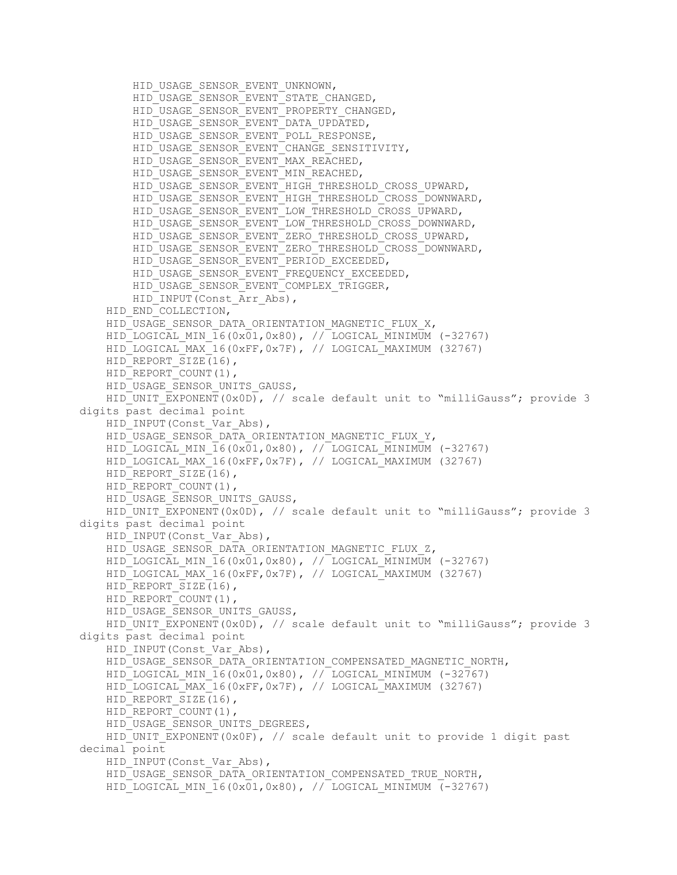```
HID_USAGE_SENSOR_EVENT_UNKNOWN,
        HID_USAGE_SENSOR_EVENT_STATE_CHANGED,
        HID_USAGE_SENSOR_EVENT_PROPERTY_CHANGED,
        HID_USAGE_SENSOR_EVENT_DATA_UPDATED,
        HID_USAGE_SENSOR_EVENT_POLL_RESPONSE,
        HID_USAGE_SENSOR_EVENT_CHANGE_SENSITIVITY,
        HID_USAGE_SENSOR_EVENT_MAX_REACHED,
        HID_USAGE_SENSOR_EVENT_MIN_REACHED,
        HID_USAGE_SENSOR_EVENT_HIGH_THRESHOLD_CROSS_UPWARD,
         HID_USAGE_SENSOR_EVENT_HIGH_THRESHOLD_CROSS_DOWNWARD, 
         HID_USAGE_SENSOR_EVENT_LOW_THRESHOLD_CROSS_UPWARD, 
         HID_USAGE_SENSOR_EVENT_LOW_THRESHOLD_CROSS_DOWNWARD, 
         HID_USAGE_SENSOR_EVENT_ZERO_THRESHOLD_CROSS_UPWARD, 
         HID_USAGE_SENSOR_EVENT_ZERO_THRESHOLD_CROSS_DOWNWARD, 
        HID_USAGE_SENSOR_EVENT_PERIOD_EXCEEDED,
        HID_USAGE_SENSOR_EVENT_FREQUENCY_EXCEEDED,
        HID_USAGE_SENSOR_EVENT_COMPLEX_TRIGGER,
        HID_INPUT(Const_Arr_Abs),
    HID_END_COLLECTION,
    HID_USAGE_SENSOR_DATA_ORIENTATION_MAGNETIC_FLUX_X,
    HID LOGICAL MIN 16(0x01,0x80), // LOGICAL MINIMUM (-32767)
     HID_LOGICAL_MAX_16(0xFF,0x7F), // LOGICAL_MAXIMUM (32767) 
    HID_REPORT_SIZE(16),
    HID_REPORT_COUNT(1),
    HID_USAGE_SENSOR_UNITS_GAUSS,
    HID UNIT EXPONENT(0x0D), // scale default unit to "milliGauss"; provide 3
digits past decimal point 
    HID_INPUT(Const_Var_Abs),
    HID_USAGE_SENSOR_DATA_ORIENTATION_MAGNETIC_FLUX_Y,
     HID_LOGICAL_MIN_16(0x01,0x80), // LOGICAL_MINIMUM (-32767) 
    HID LOGICAL MAX 16(0xFF,0x7F), // LOGICAL MAXIMUM (32767)
    HID_REPORT_SIZE(16),
    HID_REPORT_COUNT(1),
    HID_USAGE_SENSOR_UNITS_GAUSS,
    HID UNIT EXPONENT(0x0D), // scale default unit to "milliGauss"; provide 3
digits past decimal point 
    HID_INPUT(Const_Var_Abs),
    HID_USAGE_SENSOR_DATA_ORIENTATION_MAGNETIC_FLUX_Z,
    HID LOGICAL MIN \overline{16(0x01,0x80)}, // LOGICAL MINIMUM (-32767)
    HID LOGICAL MAX 16(0xFF,0x7F), // LOGICAL MAXIMUM (32767)
    HID_REPORT_SIZE(16),
    HID_REPORT_COUNT(1),
    HID_USAGE_SENSOR_UNITS_GAUSS,
    HID UNIT EXPONENT(0x0D), // scale default unit to "milliGauss"; provide 3
digits past decimal point 
    HID_INPUT(Const_Var_Abs),
    HID_USAGE_SENSOR_DATA_ORIENTATION_COMPENSATED_MAGNETIC_NORTH,
    HID LOGICAL MIN 16(0x01,0x80), // LOGICAL MINIMUM (-32767)
     HID_LOGICAL_MAX_16(0xFF,0x7F), // LOGICAL_MAXIMUM (32767) 
    HID_REPORT SIZE(16),
    HID_REPORT_COUNT(1),
    HID_USAGE_SENSOR_UNITS_DEGREES,
    HID UNIT EXPONENT(0x0F), // scale default unit to provide 1 digit past
decimal point 
    HID_INPUT(Const_Var_Abs),
    HID_USAGE_SENSOR_DATA_ORIENTATION_COMPENSATED_TRUE_NORTH,
    HID LOGICAL MIN \overline{16}(0x\overline{01},0x80), // LOGICAL MINIMUM (-32767)
```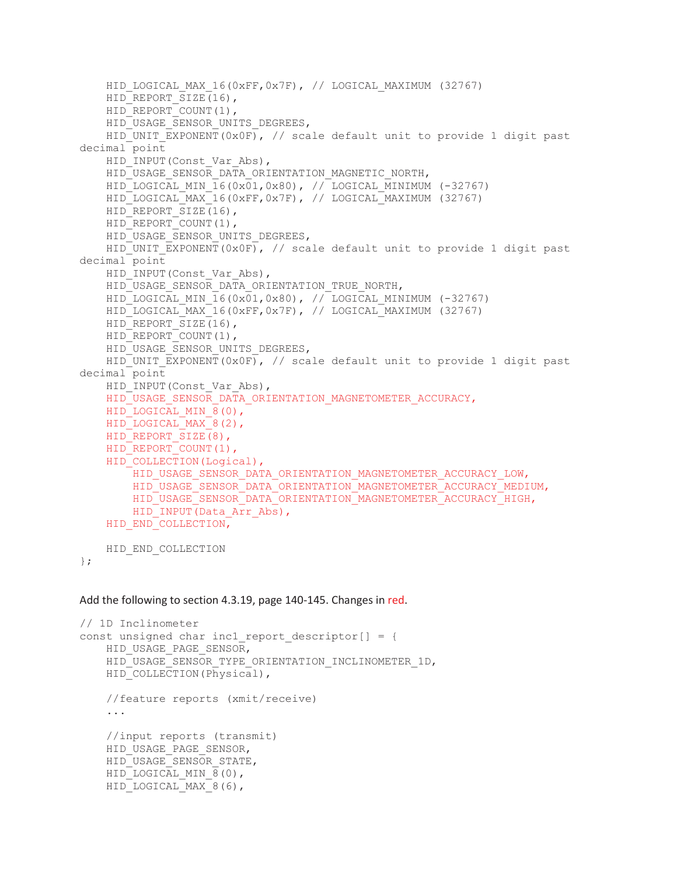```
HID LOGICAL MAX 16(0xFF,0x7F), // LOGICAL MAXIMUM (32767)
    HID_REPORT_SIZE(16),
    HID_REPORT_COUNT(1),
    HID_USAGE_SENSOR_UNITS_DEGREES,
    HID UNIT EXPONENT(0x0F), // scale default unit to provide 1 digit past
decimal point 
    HID_INPUT(Const_Var_Abs),
    HID_USAGE_SENSOR_DATA_ORIENTATION_MAGNETIC_NORTH,
    HID-LOGICAL MIN \overline{16}(0x\overline{01},0x80), // LOGICAL MINIMUM (-32767)
     HID_LOGICAL_MAX_16(0xFF,0x7F), // LOGICAL_MAXIMUM (32767) 
    HID_REPORT_SIZE(16),
    HID_REPORT_COUNT(1),
    HID_USAGE_SENSOR_UNITS_DEGREES,
    HID UNIT EXPONENT(0x0F), // scale default unit to provide 1 digit past
decimal point 
    HID_INPUT(Const_Var_Abs),
    HID_USAGE_SENSOR_DATA_ORIENTATION_TRUE_NORTH,
    HID LOGICAL MIN 16(0x01,0x80), // LOGICAL MINIMUM (-32767)
    HID LOGICAL MAX<sup>16</sup>(0xFF,0x7F), // LOGICAL<sup>_</sup>MAXIMUM (32767)
    HID_REPORT_SIZE(16),
    HID_REPORT_COUNT(1),
    HID_USAGE_SENSOR_UNITS_DEGREES,
    HID UNIT EXPONENT(0x0F), // scale default unit to provide 1 digit past
decimal point 
   HID_INPUT(Const_Var_Abs),
    HID_USAGE_SENSOR_DATA_ORIENTATION_MAGNETOMETER_ACCURACY,
    HID LOGICAL MIN 8(0),
   HID_LOGICAL_MAX_8(2),
   HID_REPORT_SIZE(8),
    HID_REPORT_COUNT(1),
    HID COLLECTION(Logical),
        HID_USAGE_SENSOR_DATA_ORIENTATION_MAGNETOMETER_ACCURACY_LOW,
        HID_USAGE_SENSOR_DATA_ORIENTATION_MAGNETOMETER_ACCURACY_MEDIUM,
        HID_USAGE_SENSOR_DATA_ORIENTATION_MAGNETOMETER_ACCURACY_HIGH,
        HID_INPUT(Data_Arr_Abs),
    HID_END_COLLECTION,
   HID END COLLECTION
```

```
};
```
Add the following to section 4.3.19, page 140-145. Changes in red.

```
// 1D Inclinometer 
const unsigned char incl report descriptor [ = {
    HID_USAGE_PAGE_SENSOR,
    HID_USAGE_SENSOR_TYPE_ORIENTATION_INCLINOMETER_1D,
    HID COLLECTION(Physical),
     //feature reports (xmit/receive) 
     ... 
     //input reports (transmit) 
    HID_USAGE_PAGE_SENSOR,
    HID_USAGE_SENSOR_STATE,
    HID LOGICAL MIN 8(0),
    HID LOGICAL MAX 8(6),
```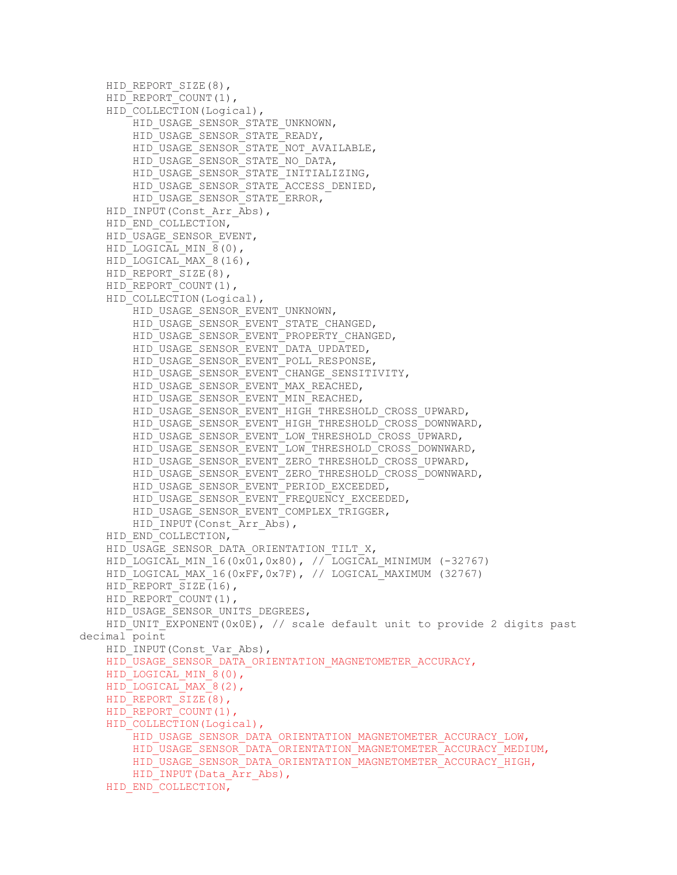```
HID_REPORT_SIZE(8),
    HID_REPORT_COUNT(1),
    HID COLLECTION(Logical),
        HID_USAGE_SENSOR_STATE_UNKNOWN,
        HID_USAGE_SENSOR_STATE_READY,
        HID_USAGE_SENSOR_STATE_NOT_AVAILABLE,
        HID_USAGE_SENSOR_STATE_NO_DATA,
        HID_USAGE_SENSOR_STATE_INITIALIZING,
         HID_USAGE_SENSOR_STATE_ACCESS_DENIED, 
         HID_USAGE_SENSOR_STATE_ERROR, 
    HID_INPUT(Const Arr Abs),
    HID_END_COLLECTION,
     HID_USAGE_SENSOR_EVENT, 
    HID LOGICAL MIN 8(0),
     HID_LOGICAL_MAX_8(16), 
    HID_REPORT_SIZE(8),
    HID_REPORT_COUNT(1),
    HID COLLECTION(Logical),
        HID_USAGE_SENSOR_EVENT_UNKNOWN,
        HID_USAGE_SENSOR_EVENT_STATE_CHANGED,
         HID_USAGE_SENSOR_EVENT_PROPERTY_CHANGED, 
         HID_USAGE_SENSOR_EVENT_DATA_UPDATED, 
        HID_USAGE_SENSOR_EVENT_POLL_RESPONSE,
        HID_USAGE_SENSOR_EVENT_CHANGE_SENSITIVITY,
        HID_USAGE_SENSOR_EVENT_MAX_REACHED,
        HID_USAGE_SENSOR_EVENT_MIN_REACHED,
        HID_USAGE_SENSOR_EVENT_HIGH_THRESHOLD_CROSS_UPWARD,
        HID_USAGE_SENSOR_EVENT_HIGH_THRESHOLD_CROSS_DOWNWARD,
        HID_USAGE_SENSOR_EVENT_LOW_THRESHOLD_CROSS_UPWARD,
         HID_USAGE_SENSOR_EVENT_LOW_THRESHOLD_CROSS_DOWNWARD, 
         HID_USAGE_SENSOR_EVENT_ZERO_THRESHOLD_CROSS_UPWARD, 
         HID_USAGE_SENSOR_EVENT_ZERO_THRESHOLD_CROSS_DOWNWARD, 
        HID_USAGE_SENSOR_EVENT_PERIOD_EXCEEDED,
        HID_USAGE_SENSOR_EVENT_FREQUENCY_EXCEEDED,
        HID_USAGE<sup>_</sup>SENSOR_EVENT_COMPLEX_TRIGGER,
        HID_INPUT(Const Arr Abs),
    HID_END_COLLECTION,
    HID_USAGE_SENSOR_DATA_ORIENTATION_TILT_X,
    HID LOGICAL MIN \overline{16(0x01,0x80)}, // LOGICAL MINIMUM (-32767)
    HID LOGICAL MAX 16(0xFF,0x7F), // LOGICAL MAXIMUM (32767)
    HID_REPORT_SIZE(16),
    HID_REPORT_COUNT(1),
    HID_USAGE_SENSOR_UNITS_DEGREES,
    HID UNIT EXPONENT(0x0E), // scale default unit to provide 2 digits past
decimal point 
    HID_INPUT(Const_Var_Abs),
    HID_USAGE_SENSOR_DATA_ORIENTATION_MAGNETOMETER_ACCURACY,
    HID_LOGICAL_MIN_8(0),
     HID_LOGICAL_MAX_8(2), 
    HID_REPORT_SIZE(8),
    HID_REPORT_COUNT(1),
    HID COLLECTION(Logical),
        HID_USAGE_SENSOR_DATA_ORIENTATION_MAGNETOMETER_ACCURACY_LOW,
        HID_USAGE_SENSOR_DATA_ORIENTATION_MAGNETOMETER_ACCURACY_MEDIUM,
        HID_USAGE_SENSOR_DATA_ORIENTATION_MAGNETOMETER_ACCURACY_HIGH,
        HID_INPUT(Data_Arr_Abs),
    HID_END_COLLECTION,
```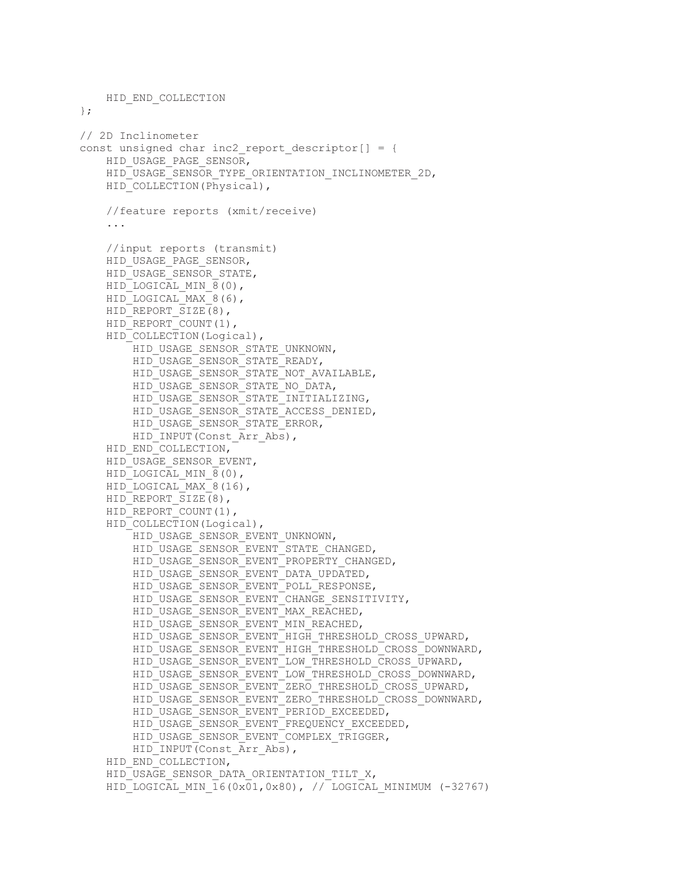```
 HID_END_COLLECTION 
}; 
// 2D Inclinometer 
const unsigned char inc2 report descriptor [] = {
    HID_USAGE_PAGE_SENSOR,
    HID_USAGE_SENSOR_TYPE_ORIENTATION_INCLINOMETER_2D,
    HID COLLECTION(Physical),
     //feature reports (xmit/receive) 
     ... 
     //input reports (transmit) 
    HID_USAGE_PAGE_SENSOR,
    HID_USAGE_SENSOR_STATE,
    HID LOGICAL MIN 8(0),
    HID LOGICAL MAX 8(6),
    HID_REPORT_SIZE(8),
    HID_REPORT_COUNT(1),
    HID COLLECTION(Logical),
        HID_USAGE_SENSOR_STATE_UNKNOWN,
         HID_USAGE_SENSOR_STATE_READY, 
         HID_USAGE_SENSOR_STATE_NOT_AVAILABLE, 
        HID_USAGE_SENSOR_STATE_NO_DATA,
        HID_USAGE_SENSOR_STATE_INITIALIZING,
        HID_USAGE_SENSOR_STATE_ACCESS_DENIED,
        HID_USAGE_SENSOR_STATE_ERROR,
        HID_INPUT(Const Arr Abs),
    HID_END_COLLECTION,
     HID_USAGE_SENSOR_EVENT, 
    HID LOGICAL MIN 8(0),
    HID LOGICAL MAX 8(16),
    HID_REPORT_SIZE(8),
    HID_REPORT_COUNT(1),
    HID_COLLECTION(Logical),
        HID_USAGE_SENSOR_EVENT_UNKNOWN,
        HID_USAGE_SENSOR_EVENT_STATE_CHANGED,
         HID_USAGE_SENSOR_EVENT_PROPERTY_CHANGED, 
        HID_USAGE_SENSOR_EVENT_DATA_UPDATED,
        HID_USAGE_SENSOR_EVENT_POLL_RESPONSE,
        HID_USAGE_SENSOR_EVENT_CHANGE_SENSITIVITY,
         HID_USAGE_SENSOR_EVENT_MAX_REACHED, 
        HID_USAGE_SENSOR_EVENT_MIN_REACHED,
        HID_USAGE_SENSOR_EVENT_HIGH_THRESHOLD_CROSS_UPWARD,
        HID_USAGE_SENSOR_EVENT_HIGH_THRESHOLD_CROSS_DOWNWARD,
        HID USAGE SENSOR EVENT LOW THRESHOLD CROSS UPWARD,
        HID_USAGE_SENSOR_EVENT_LOW_THRESHOLD_CROSS_DOWNWARD,
        HID_USAGE_SENSOR_EVENT_ZERO_THRESHOLD_CROSS_UPWARD,
         HID_USAGE_SENSOR_EVENT_ZERO_THRESHOLD_CROSS_DOWNWARD, 
        HID_USAGE_SENSOR_EVENT_PERIOD_EXCEEDED,
        HID_USAGE_SENSOR_EVENT_FREQUENCY_EXCEEDED,
        HID_USAGE_SENSOR_EVENT_COMPLEX_TRIGGER,
        HID_INPUT(Const Arr Abs),
    HID_END_COLLECTION,
    HID_USAGE_SENSOR_DATA_ORIENTATION_TILT_X,
    HID LOGICAL MIN \overline{16}(0x\overline{01},0x80), // LOGICAL MINIMUM (-32767)
```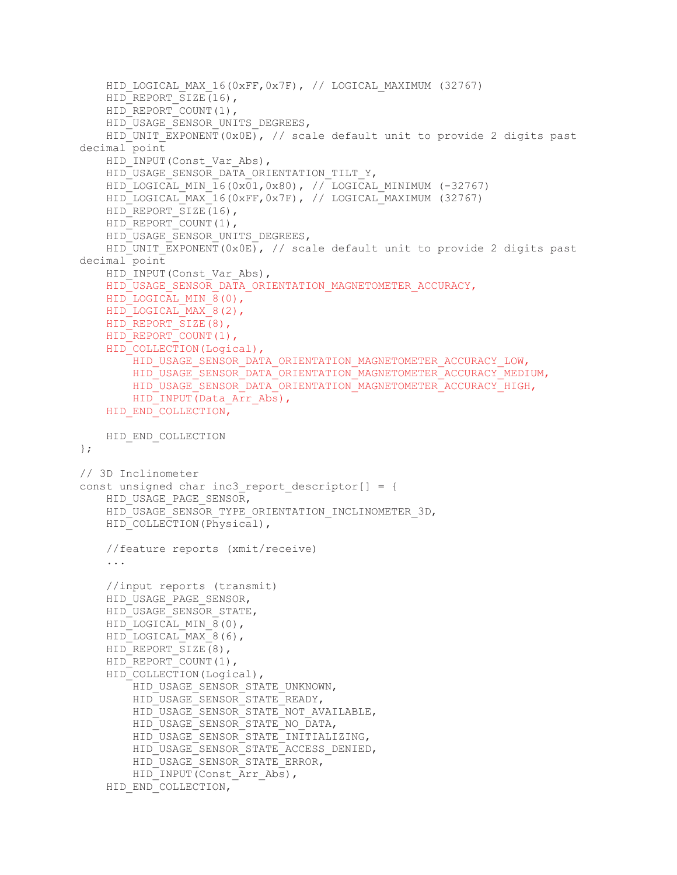```
HID LOGICAL MAX 16(0xFF,0x7F), // LOGICAL MAXIMUM (32767)
    HID_REPORT_SIZE(16),
    HID_REPORT_COUNT(1),
    HID_USAGE_SENSOR_UNITS_DEGREES,
    HID UNIT EXPONENT(0x0E), // scale default unit to provide 2 digits past
decimal point 
    HID_INPUT(Const_Var_Abs),
    HID_USAGE_SENSOR_DATA_ORIENTATION_TILT_Y,
    HID-LOGICAL MIN \overline{16}(0x\overline{01},0x80), // LOGICAL MINIMUM (-32767)
    HID_LOGICAL_MAX_16(0xFF,0x7F), // LOGICAL_MAXIMUM (32767)
    HID_REPORT_SIZE(16),
    HID_REPORT_COUNT(1),
    HID_USAGE_SENSOR_UNITS_DEGREES,
    HID UNIT EXPONENT(0x0E), // scale default unit to provide 2 digits past
decimal point 
    HID_INPUT(Const_Var_Abs),
    HID_USAGE_SENSOR_DATA_ORIENTATION_MAGNETOMETER_ACCURACY,
    HID LOGICAL MIN 8(0),
    HID LOGICAL MAX 8(2),
    HID_REPORT_SIZE(8),
    HID_REPORT_COUNT(1),
    HID COLLECTION(Logical),
        HID_USAGE_SENSOR_DATA_ORIENTATION_MAGNETOMETER_ACCURACY_LOW,
         HID_USAGE_SENSOR_DATA_ORIENTATION_MAGNETOMETER_ACCURACY_MEDIUM, 
        HID_USAGE_SENSOR_DATA_ORIENTATION_MAGNETOMETER_ACCURACY_HIGH,
        HID_INPUT(Data_Arr_Abs),
    HID_END_COLLECTION,
     HID_END_COLLECTION 
}; 
// 3D Inclinometer 
const unsigned char inc3 report descriptor[] = {
    HID_USAGE_PAGE_SENSOR,
    HID_USAGE_SENSOR_TYPE_ORIENTATION_INCLINOMETER_3D,
    HID COLLECTION(Physical),
     //feature reports (xmit/receive) 
     ... 
     //input reports (transmit) 
    HID_USAGE_PAGE_SENSOR,
     HID_USAGE_SENSOR_STATE, 
    HID LOGICAL MIN 8(0),
    HID LOGICAL MAX 8(6),
    HID_REPORT_SIZE(8),
    HID_REPORT_COUNT(1),
    HID_COLLECTION(Logical),
        HID_USAGE_SENSOR_STATE_UNKNOWN,
         HID_USAGE_SENSOR_STATE_READY, 
         HID_USAGE_SENSOR_STATE_NOT_AVAILABLE, 
        HID_USAGE_SENSOR_STATE_NO_DATA,
        HID_USAGE_SENSOR_STATE_INITIALIZING,
        HID_USAGE_SENSOR_STATE_ACCESS_DENIED,
        HID_USAGE_SENSOR_STATE_ERROR,
        HID_INPUT(Const_Arr_Abs),
    HID_END_COLLECTION,
```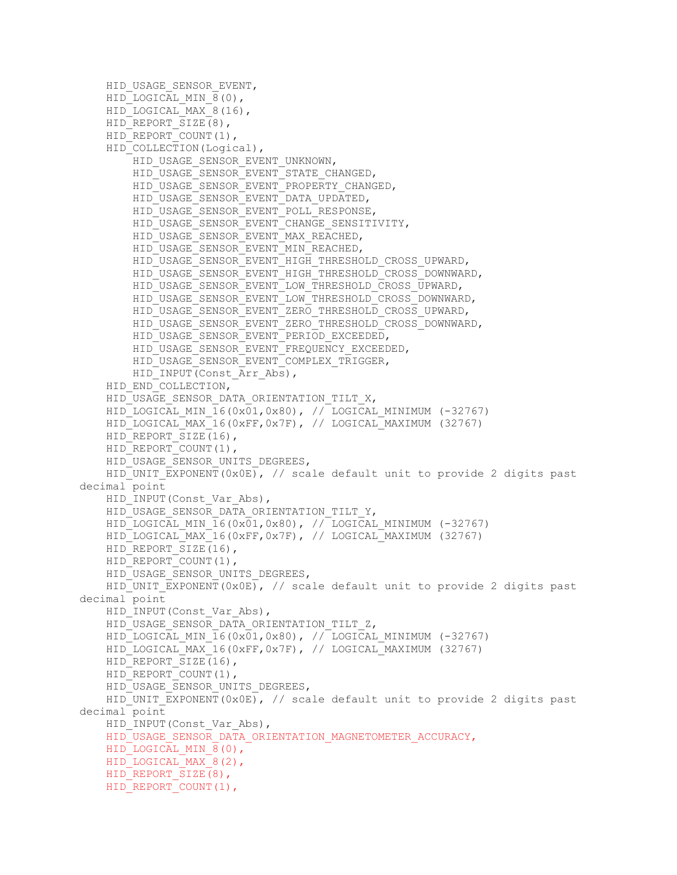```
HID_USAGE_SENSOR_EVENT,
    HID LOGICAL MIN \overline{8}(0),
    HID LOGICAL MAX 8(16),
    HID_REPORT_SIZE(8),
    HID_REPORT_COUNT(1),
    HID COLLECTION(Logical),
        HID_USAGE_SENSOR_EVENT_UNKNOWN,
        HID_USAGE_SENSOR_EVENT_STATE_CHANGED,
        HID_USAGE_SENSOR_EVENT_PROPERTY_CHANGED,
        HID_USAGE_SENSOR_EVENT_DATA_UPDATED,
         HID_USAGE_SENSOR_EVENT_POLL_RESPONSE, 
         HID_USAGE_SENSOR_EVENT_CHANGE_SENSITIVITY, 
        HID_USAGE_SENSOR_EVENT_MAX_REACHED,
         HID_USAGE_SENSOR_EVENT_MIN_REACHED, 
        HID_USAGE_SENSOR_EVENT_HIGH_THRESHOLD_CROSS_UPWARD,
         HID_USAGE_SENSOR_EVENT_HIGH_THRESHOLD_CROSS_DOWNWARD, 
         HID_USAGE_SENSOR_EVENT_LOW_THRESHOLD_CROSS_UPWARD, 
         HID_USAGE_SENSOR_EVENT_LOW_THRESHOLD_CROSS_DOWNWARD, 
        HID_USAGE_SENSOR_EVENT_ZERO_THRESHOLD_CROSS_UPWARD,
         HID_USAGE_SENSOR_EVENT_ZERO_THRESHOLD_CROSS_DOWNWARD, 
        HID_USAGE_SENSOR_EVENT_PERIOD_EXCEEDED,
        HID_USAGE_SENSOR_EVENT_FREQUENCY_EXCEEDED,
         HID_USAGE_SENSOR_EVENT_COMPLEX_TRIGGER, 
        HID_INPUT(Const Arr Abs),
    HID_END_COLLECTION,
    HID_USAGE_SENSOR_DATA_ORIENTATION_TILT_X,
    HID LOGICAL MIN 16(0x01,0x80), // LOGICAL MINIMUM (-32767)
    HID LOGICAL MAX 16(0xFF,0x7F), // LOGICAL_MAXIMUM (32767)
    HID_REPORT_SIZE(16),
    HID_REPORT_COUNT(1),
    HID_USAGE_SENSOR_UNITS_DEGREES,
    HID UNIT EXPONENT(0x0E), // scale default unit to provide 2 digits past
decimal point 
    HID_INPUT(Const_Var_Abs),
    HID_USAGE_SENSOR_DATA_ORIENTATION_TILT_Y,
    HID LOGICAL MIN \overline{16} (0x01,0x80), // LOGICAL MINIMUM (-32767)
     HID_LOGICAL_MAX_16(0xFF,0x7F), // LOGICAL_MAXIMUM (32767) 
    HID_REPORT_SIZE(16),
    HID_REPORT_COUNT(1),
    HID_USAGE_SENSOR_UNITS_DEGREES,
    HID UNIT EXPONENT(0x0E), // scale default unit to provide 2 digits past
decimal point 
    HID_INPUT(Const_Var_Abs),
    HID_USAGE_SENSOR_DATA_ORIENTATION_TILT_Z,
    HID LOGICAL MIN 16(0x01,0x80), // LOGICAL MINIMUM (-32767)
    HID LOGICAL MAX 16(0xFF,0x7F), // LOGICAL MAXIMUM (32767)
    HID_REPORT_SIZE(16),
    HID_REPORT_COUNT(1),
    HID_USAGE_SENSOR_UNITS_DEGREES,
    HID UNIT EXPONENT(0x0E), // scale default unit to provide 2 digits past
decimal point 
    HID_INPUT(Const_Var_Abs),
    HID_USAGE_SENSOR_DATA_ORIENTATION_MAGNETOMETER_ACCURACY,
    HID LOGICAL MIN 8(0),
    HID LOGICAL MAX 8(2),
    HID_REPORT_SIZE(8),
    HID_REPORT_COUNT(1),
```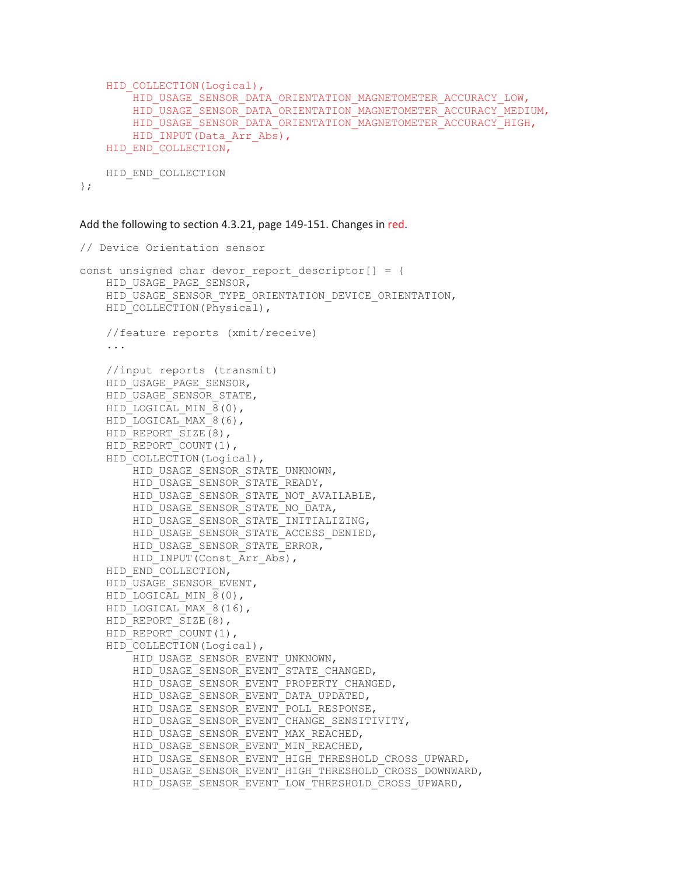```
HID_COLLECTION(Logical),
    .<br>HID_USAGE_SENSOR_DATA_ORIENTATION_MAGNETOMETER_ACCURACY_LOW,
    HID_USAGE_SENSOR_DATA_ORIENTATION_MAGNETOMETER_ACCURACY_MEDIUM,
    HID_USAGE_SENSOR_DATA_ORIENTATION_MAGNETOMETER_ACCURACY_HIGH,
    HID_INPUT(Data_Arr_Abs),
HID_END_COLLECTION,
HID END COLLECTION
```
};

Add the following to section 4.3.21, page 149-151. Changes in red.

```
// Device Orientation sensor 
const unsigned char devor report descriptor [ = {
    HID_USAGE_PAGE_SENSOR,
    HID USAGE SENSOR TYPE ORIENTATION DEVICE ORIENTATION,
    HID COLLECTION(Physical),
     //feature reports (xmit/receive) 
     ... 
     //input reports (transmit) 
     HID_USAGE_PAGE_SENSOR, 
    HID_USAGE_SENSOR_STATE,
    HID LOGICAL MIN \overline{8}(0),
    HID LOGICAL MAX 8(6),
    HID_REPORT_SIZE(8),
    HID_REPORT_COUNT(1),
    HID_COLLECTION(Logical),
        HID_USAGE_SENSOR_STATE_UNKNOWN,
         HID_USAGE_SENSOR_STATE_READY, 
        HID_USAGE_SENSOR_STATE_NOT_AVAILABLE,
        HID_USAGE_SENSOR_STATE_NO_DATA,
         HID_USAGE_SENSOR_STATE_INITIALIZING, 
         HID_USAGE_SENSOR_STATE_ACCESS_DENIED, 
         HID_USAGE_SENSOR_STATE_ERROR, 
        HID_INPUT(Const Arr Abs),
    HID_END_COLLECTION,
     HID_USAGE_SENSOR_EVENT, 
    HID LOGICAL MIN 8(0),
    HID LOGICAL MAX 8(16),
    HID_REPORT_SIZE(8),
    HID_REPORT_COUNT(1),
    HID_COLLECTION(Logical),
        HID_USAGE_SENSOR_EVENT_UNKNOWN,
        HID_USAGE_SENSOR_EVENT_STATE_CHANGED,
        HID_USAGE_SENSOR_EVENT_PROPERTY_CHANGED,
        HID_USAGE_SENSOR_EVENT_DATA_UPDATED,
        HID_USAGE_SENSOR_EVENT_POLL_RESPONSE,
        HID_USAGE_SENSOR_EVENT_CHANGE_SENSITIVITY,
        HID_USAGE_SENSOR_EVENT_MAX_REACHED,
        HID_USAGE_SENSOR_EVENT_MIN_REACHED,
        HID_USAGE_SENSOR_EVENT_HIGH_THRESHOLD_CROSS_UPWARD,
         HID_USAGE_SENSOR_EVENT_HIGH_THRESHOLD_CROSS_DOWNWARD, 
         HID_USAGE_SENSOR_EVENT_LOW_THRESHOLD_CROSS_UPWARD,
```